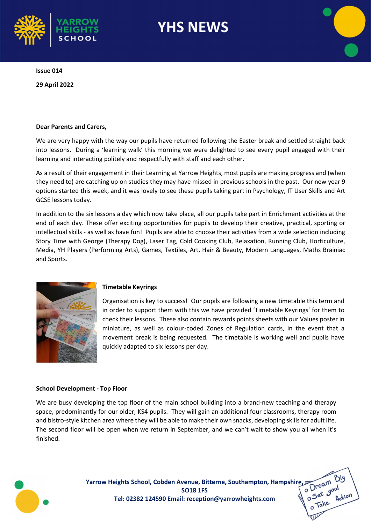

Issue 014

29 April 2022

#### Dear Parents and Carers,

We are very happy with the way our pupils have returned following the Easter break and settled straight back into lessons. During a 'learning walk' this morning we were delighted to see every pupil engaged with their learning and interacting politely and respectfully with staff and each other.

As a result of their engagement in their Learning at Yarrow Heights, most pupils are making progress and (when they need to) are catching up on studies they may have missed in previous schools in the past. Our new year 9 options started this week, and it was lovely to see these pupils taking part in Psychology, IT User Skills and Art GCSE lessons today.

In addition to the six lessons a day which now take place, all our pupils take part in Enrichment activities at the end of each day. These offer exciting opportunities for pupils to develop their creative, practical, sporting or intellectual skills - as well as have fun! Pupils are able to choose their activities from a wide selection including Story Time with George (Therapy Dog), Laser Tag, Cold Cooking Club, Relaxation, Running Club, Horticulture, Media, YH Players (Performing Arts), Games, Textiles, Art, Hair & Beauty, Modern Languages, Maths Brainiac and Sports.



#### Timetable Keyrings

Organisation is key to success! Our pupils are following a new timetable this term and in order to support them with this we have provided 'Timetable Keyrings' for them to check their lessons. These also contain rewards points sheets with our Values poster in miniature, as well as colour-coded Zones of Regulation cards, in the event that a movement break is being requested. The timetable is working well and pupils have quickly adapted to six lessons per day.

#### School Development - Top Floor

We are busy developing the top floor of the main school building into a brand-new teaching and therapy space, predominantly for our older, KS4 pupils. They will gain an additional four classrooms, therapy room and bistro-style kitchen area where they will be able to make their own snacks, developing skills for adult life. The second floor will be open when we return in September, and we can't wait to show you all when it's finished.



Yarrow Heights School, Cobden Avenue, Bitterne, Southampton, Hampshire, Cam B<br>SO18 1FS<br>Tel: 02382 124590 Email: reception@varrowheights som and Set goal SO18 1FS Tel: 02382 124590 Email: reception@yarrowheights.com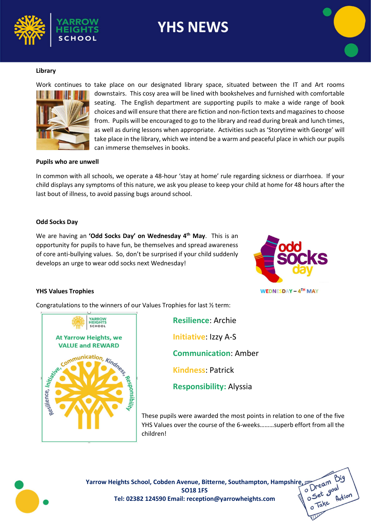





Work continues to take place on our designated library space, situated between the IT and Art rooms downstairs. This cosy area will be lined with bookshelves and furnished with comfortable seating. The English department are supporting pupils to make a wide range of book choices and will ensure that there are fiction and non-fiction texts and magazines to choose from. Pupils will be encouraged to go to the library and read during break and lunch times, as well as during lessons when appropriate. Activities such as 'Storytime with George' will take place in the library, which we intend be a warm and peaceful place in which our pupils can immerse themselves in books.

#### Pupils who are unwell

In common with all schools, we operate a 48-hour 'stay at home' rule regarding sickness or diarrhoea. If your child displays any symptoms of this nature, we ask you please to keep your child at home for 48 hours after the last bout of illness, to avoid passing bugs around school.

#### Odd Socks Day

We are having an 'Odd Socks Day' on Wednesday 4<sup>th</sup> May. This is an opportunity for pupils to have fun, be themselves and spread awareness of core anti-bullying values. So, don't be surprised if your child suddenly develops an urge to wear odd socks next Wednesday!



#### YHS Values Trophies

Congratulations to the winners of our Values Trophies for last ½ term:



Resilience: Archie Initiative: Izzy A-S Communication: Amber Kindness: Patrick Responsibility: Alyssia

These pupils were awarded the most points in relation to one of the five YHS Values over the course of the 6-weeks………superb effort from all the children!



Yarrow Heights School, Cobden Avenue, Bitterne, Southampton, Hampshire, Cam B<br>SO18 1FS<br>Tel: 02382 124590 Email: recention@usessite: the state of the State goal SO18 1FS Tel: 02382 124590 Email: reception@yarrowheights.com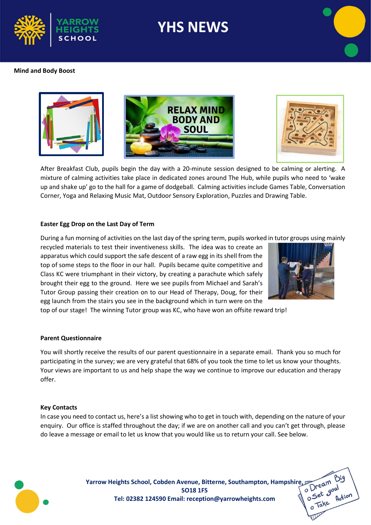



#### Mind and Body Boost





After Breakfast Club, pupils begin the day with a 20-minute session designed to be calming or alerting. A mixture of calming activities take place in dedicated zones around The Hub, while pupils who need to 'wake up and shake up' go to the hall for a game of dodgeball. Calming activities include Games Table, Conversation Corner, Yoga and Relaxing Music Mat, Outdoor Sensory Exploration, Puzzles and Drawing Table.

#### Easter Egg Drop on the Last Day of Term

During a fun morning of activities on the last day of the spring term, pupils worked in tutor groups using mainly

recycled materials to test their inventiveness skills. The idea was to create an apparatus which could support the safe descent of a raw egg in its shell from the top of some steps to the floor in our hall. Pupils became quite competitive and Class KC were triumphant in their victory, by creating a parachute which safely brought their egg to the ground. Here we see pupils from Michael and Sarah's Tutor Group passing their creation on to our Head of Therapy, Doug, for their egg launch from the stairs you see in the background which in turn were on the



top of our stage! The winning Tutor group was KC, who have won an offsite reward trip!

#### Parent Questionnaire

You will shortly receive the results of our parent questionnaire in a separate email. Thank you so much for participating in the survey; we are very grateful that 68% of you took the time to let us know your thoughts. Your views are important to us and help shape the way we continue to improve our education and therapy offer.

#### Key Contacts

In case you need to contact us, here's a list showing who to get in touch with, depending on the nature of your enquiry. Our office is staffed throughout the day; if we are on another call and you can't get through, please do leave a message or email to let us know that you would like us to return your call. See below.



Yarrow Heights School, Cobden Avenue, Bitterne, Southampton, Hampshire, Cam Big<br>SO18 1FS<br>Tel: 02382 124590 Email: recention@varrowshipshire, Cambridge Manuscription SO18 1FS Tel: 02382 124590 Email: reception@yarrowheights.com